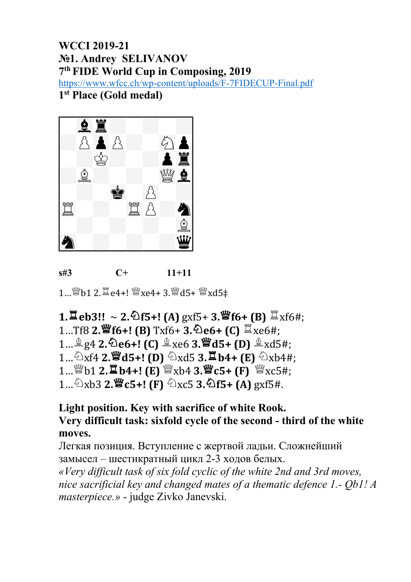#### **WCCI 2019-21** No1. Andrey SELIVANOV 7th FIDE World Cup in Composing, 2019 https://www.wfcc.ch/wp-content/uploads/F-7FIDECUP-Final.pdf 1<sup>st</sup> Place (Gold medal)



 $s#3$  $C+$  $11 + 11$ 

1... *S*u b 1 2. 耳 e 4 +! Su xe 4 + 3. Su d 5 + Su xd 5 +

1.  $\Xi$  eb3!! ~ 2.  $\Delta$ f5+! (A) gxf5+ 3.  $\mathfrak{G}$ f6+ (B)  $\Xi$ xf6#; 1...Tf8 2. *S* f6+! (B) Txf6+ 3. De6+ (C) <sup>置</sup>xe6#; 1...  $\triangle$  g4 2. De6+! (C)  $\triangleq$  xe6 3. Wd5+ (D)  $\triangleq$  xd5#; 1...  $\Delta$ xf4 2.  $\mathbf{W}$ d5+! (D)  $\Delta$ xd5 3.  $\mathbf{W}$ b4+ (E)  $\Delta$ xb4#; 1... \frac{\mathb{b}}{\b} \left(\b} \frac{\mathb{B}}{\sigma\_{\sigma\_{\sigma\_{\sigma\_{\sigma\_{\sigma\_{\sigma\_{\sigma\_{\sigma\_{\sigma\_{\sigma\_{\sigma\_{\sigma\_{\sigma\_{\sigma\_{\sigma\_{\sigma\_{\sigma\_{\sigma\_{\sigma\_{\sigma\_{ 1...  $\triangle$ xb3 2.  $\mathscr{C}$ c5+! (F)  $\triangle$ xc5 3.  $\triangle$ f5+ (A) gxf5#.

### Light position. Key with sacrifice of white Rook. Very difficult task: sixfold cycle of the second - third of the white moves.

Легкая позиция. Вступление с жертвой ладьи. Сложнейший замысел - шестикратный цикл 2-3 ходов белых. «Very difficult task of six fold cyclic of the white 2nd and 3rd moves, nice sacrificial key and changed mates of a thematic defence 1.- Ob1! A *masterpiece.»* - judge Zivko Janevski.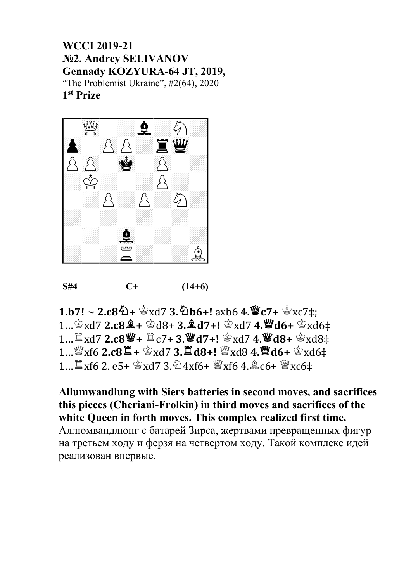### **WCCI 2019-21** №2. Andrey SELIVANOV Gennady KOZYURA-64 JT, 2019, "The Problemist Ukraine", #2(64), 2020 1<sup>st</sup> Prize



 $S#4$  $C+$  $(14+6)$ 

 $1.b7! \sim 2.c8\overline{2} + \mathcal{L}x d7$  3.  $\overline{2}bb6+!$  axb6 4.  $\overline{2}C7+ \mathcal{L}x c7$   $\ddagger$ ; 1...  $\mathbb{S}$ xd7 2.c8 $\mathbb{S}$ + $\mathbb{S}$ d8+ 3. $\mathbb{S}$ d7+! $\mathbb{S}$ xd7 4. $\mathbb{S}$ d6+ $\mathbb{S}$ xd6 $\ddagger$ 1...  $\mathbb{Z}$ xd7 2.c8  $\mathbb{Z}$ +  $\mathbb{Z}$ c7+3. $\mathbb{Z}$ d7+!  $\mathbb{Z}$ xd7 4. $\mathbb{Z}$ d8+  $\mathbb{Z}$ xd8 $\ddagger$ 1...  $\sqrt[12]{2}$  xf6 2.c8  $\sqrt[12]{2}$  +  $\sqrt[12]{2}$  xd7 3.  $\sqrt[12]{2}$  d8+!  $\sqrt[12]{2}$  xd8 4.  $\sqrt[12]{2}$  d6+  $\sqrt[12]{2}$  xd6 = 1...  $\mathbb{Z}$  xf6 2. e5+  $\mathbb{Z}$  xd7 3.  $\mathbb{Z}$ 4xf6+  $\mathbb{W}$ xf6 4.  $\mathbb{Z}$  c6+  $\mathbb{W}$ xc6‡

Allumwandlung with Siers batteries in second moves, and sacrifices this pieces (Cheriani-Frolkin) in third moves and sacrifices of the white Queen in forth moves. This complex realized first time. Аллюмвандлюнг с батарей Зирса, жертвами превращенных фигур на третьем ходу и ферзя на четвертом ходу. Такой комплекс идей реализован впервые.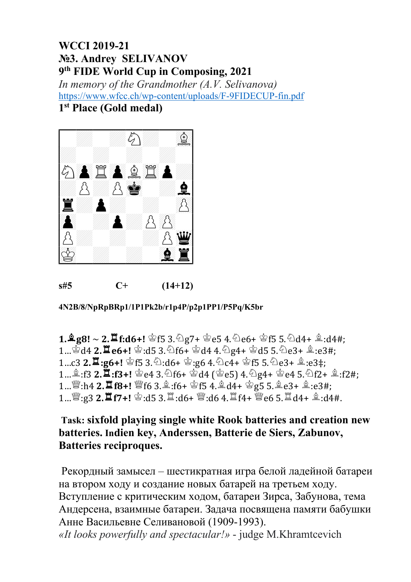## **WCCI 2019-21** No<sub>2</sub>3. Andrey SELIVANOV 9th FIDE World Cup in Composing, 2021 In memory of the Grandmother (A.V. Selivanova) https://www.wfcc.ch/wp-content/uploads/F-9FIDECUP-fin.pdf

### 1<sup>st</sup> Place (Gold medal)



 $s#5$  $C+$  $(14+12)$ 

4N2B/8/NpRpBRp1/1P1Pk2b/r1p4P/p2p1PP1/P5Pq/K5br

 $1.\frac{6}{2}g8! \sim 2.\frac{11}{2}f: d6 + !$  \$f5 3.  $\bigcirc$   $g7 +$  \$e5 4.  $\bigcirc$  e6+ \$f5 5.  $\bigcirc$  d4+ \$:d4#: 1...  $\mathbb{Z}_{d}$  d4 2.  $\mathbb{Z}$  e6+!  $\mathbb{Z}_{d}$ : d5 3.  $\mathbb{Z}_{f}$   $6 + \mathbb{Z}_{d}$  d4 4.  $\mathbb{Z}_{g}$  d4 +  $\mathbb{Z}_{d}$  d5 5.  $\mathbb{Z}_{e}$  a+  $\mathbb{Z}_{d}$ : e3#; 1...c3 2. 1:g6+! \$f5 3. \;d6+ \;g6 4. \;ac4+ \;g6 5. \;ac3+ \;ac3+; 1... 4: f3 2.  $\Xi$ : f3+!  $\circledcirc$  e4 3.  $\circledcirc$  f6+  $\circledcirc$  d4 ( $\circledcirc$  e5) 4.  $\circledcirc$  g4+  $\circledcirc$  e4 5.  $\circledcirc$  f2+  $\circledast$ : f2#; 1... \cat :h4 2.  $\Xi$  f8+! \fe f6 3. \fe :f6+ \fe f5 4. \fe d4+ \fe g5 5. \fe e3+ \fe :e3#; 1... \cat (\geta 2.  $\Xi$  f7+! \cat (\geta 3. \fa :d6+ \cat (\geta 3. \fa f4+ \cat (\geta 6 5. \fa d4+ \fa \geta :d4#.

### Task: sixfold playing single white Rook batteries and creation new batteries. Indien key, Anderssen, Batterie de Siers, Zabunov, **Batteries reciproques.**

Рекордный замысел – шестикратная игра белой ладейной батареи на втором ходу и создание новых батарей на третьем ходу. Вступление с критическим ходом, батареи Зирса, Забунова, тема Андерсена, взаимные батареи. Задача посвящена памяти бабушки Анне Васильевне Селивановой (1909-1993). «It looks powerfully and spectacular!» - judge M.Khramtcevich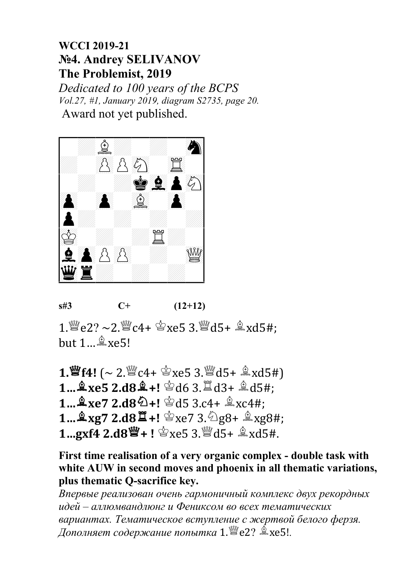# **WCCI 2019-21** No4. Andrey SELIVANOV The Problemist, 2019

Dedicated to 100 years of the BCPS Vol.27, #1, January 2019, diagram S2735, page 20. Award not yet published.





1.  $\mathbb{Z}$  e2? ~2.  $\mathbb{Z}$  c4+  $\mathbb{Z}$  xe5 3.  $\mathbb{Z}$  d5+  $\mathbb{Z}$  xd5#; but  $1 \dots$  $\&$  xe5!

1.  $\mathbf{W}$  f4! (~ 2.  $\mathbf{W}$  c4+  $\mathbf{\hat{\Phi}}$  xe5 3.  $\mathbf{W}$  d5+  $\mathbf{\hat{\Phi}}$  xd5#) 1...  $\hat{2}$ xe5 2.d8 $\hat{2}$ +!  $\hat{3}$ d6 3. $\hat{1}$ d3+  $\hat{2}$ d5#; 1...  $\&$  xe7 2.d8  $\&$  +!  $\&$  d5 3.c4+  $\&$  xc4#; 1...  $\frac{6}{5}$ xg7 2.d8 $\frac{11}{5}$ +!  $\frac{6}{5}$ xe7 3.  $\frac{6}{5}$ g8+  $\frac{6}{5}$ xg8#; 1.gxf4 2.d8\"+! \g\$xe5 3.\"d5+ \g\$xd5#.

First time realisation of a very organic complex - double task with white AUW in second moves and phoenix in all thematic variations, plus thematic Q-sacrifice key.

Впервые реализован очень гармоничный комплекс двух рекордных идей – аллюмвандлюнг и Фениксом во всех тематических вариантах. Тематическое вступление с жертвой белого ферзя. Дополняет содержание попытка 1.  $\mathbb{E}$ е2?  $\triangleq$ хе5!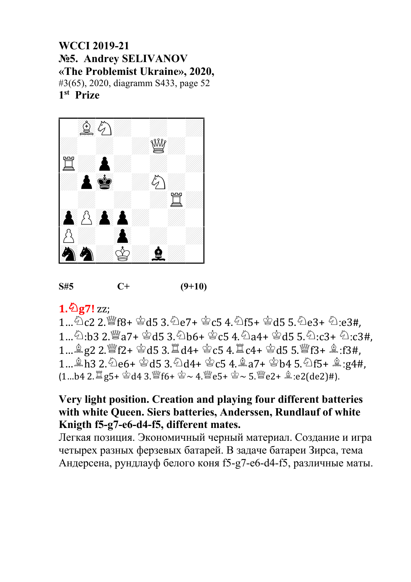### **WCCI 2019-21** No.5. Andrey SELIVANOV «The Problemist Ukraine», 2020, #3(65), 2020, diagramm S433, page 52 1<sup>st</sup> Prize





## $1.\overline{2}g7!$  zz;

 $1...\bigcirc C2$   $2.\bigcirc C6 + \bigcirc C45$   $3.\bigcirc C67 + \bigcirc C5$   $4.\bigcirc C5 + \bigcirc C45$   $5.\bigcirc C63 + \bigcirc C23\#$ 1... 2:b3 2.  $\mathbb{Z}$ a7+  $\mathbb{Z}$ d5 3. 2b6+  $\mathbb{Z}$ c5 4. 2a4+  $\mathbb{Z}$ d5 5. 2:c3+ 2:c3#. 1...  $\frac{4}{3}$  g2 2.  $\frac{10}{3}$  f2+  $\frac{1}{3}$  d5 3.  $\frac{11}{3}$  d4+  $\frac{1}{3}$  c5 4.  $\frac{11}{3}$  c4+  $\frac{1}{3}$  d5 5.  $\frac{10}{3}$  f3+  $\frac{4}{3}$ : f3#, 1... \$13 2. 2e6+ \$d5 3. 2d4+ \$c5 4. \$a7+ \$b4 5. 2f5+ \$:g4#,  $(1...b4 \ 2. \ \mathbb{Z} \text{g5+} \ \& \ \text{d4} \ 3. \ \mathbb{W} \text{f6+} \ \& \sim 4. \ \mathbb{W} \text{e5+} \ \& \sim 5. \ \mathbb{W} \text{e2+} \ \& \ \text{e2(de2)#}.$ 

### Very light position. Creation and playing four different batteries with white Oueen. Siers batteries, Anderssen, Rundlauf of white Knigth f5-g7-e6-d4-f5, different mates.

Легкая позиция. Экономичный черный материал. Создание и игра четырех разных ферзевых батарей. В задаче батареи Зирса, тема Андерсена, рундлауф белого коня f5-g7-e6-d4-f5, различные маты.